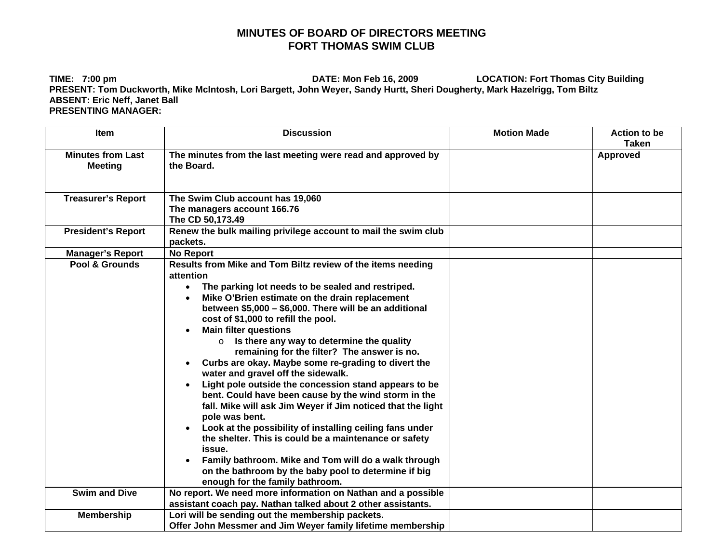## **MINUTES OF BOARD OF DIRECTORS MEETING FORT THOMAS SWIM CLUB**

**TIME: 7:00 pm DATE: Mon Feb 16, 2009 LOCATION: Fort Thomas City Building PRESENT: Tom Duckworth, Mike McIntosh, Lori Bargett, John Weyer, Sandy Hurtt, Sheri Dougherty, Mark Hazelrigg, Tom Biltz ABSENT: Eric Neff, Janet Ball PRESENTING MANAGER:**

| <b>Item</b>                                | <b>Discussion</b>                                                                                                                                                                                                                                                                                                                                                                                                                                                                                                                                                                                                                                                                                                                                                                                                                                                                                                                                                                                       | <b>Motion Made</b> | <b>Action to be</b><br><b>Taken</b> |
|--------------------------------------------|---------------------------------------------------------------------------------------------------------------------------------------------------------------------------------------------------------------------------------------------------------------------------------------------------------------------------------------------------------------------------------------------------------------------------------------------------------------------------------------------------------------------------------------------------------------------------------------------------------------------------------------------------------------------------------------------------------------------------------------------------------------------------------------------------------------------------------------------------------------------------------------------------------------------------------------------------------------------------------------------------------|--------------------|-------------------------------------|
| <b>Minutes from Last</b><br><b>Meeting</b> | The minutes from the last meeting were read and approved by<br>the Board.                                                                                                                                                                                                                                                                                                                                                                                                                                                                                                                                                                                                                                                                                                                                                                                                                                                                                                                               |                    | Approved                            |
| <b>Treasurer's Report</b>                  | The Swim Club account has 19,060<br>The managers account 166.76<br>The CD 50,173.49                                                                                                                                                                                                                                                                                                                                                                                                                                                                                                                                                                                                                                                                                                                                                                                                                                                                                                                     |                    |                                     |
| <b>President's Report</b>                  | Renew the bulk mailing privilege account to mail the swim club<br>packets.                                                                                                                                                                                                                                                                                                                                                                                                                                                                                                                                                                                                                                                                                                                                                                                                                                                                                                                              |                    |                                     |
| <b>Manager's Report</b>                    | <b>No Report</b>                                                                                                                                                                                                                                                                                                                                                                                                                                                                                                                                                                                                                                                                                                                                                                                                                                                                                                                                                                                        |                    |                                     |
| Pool & Grounds                             | Results from Mike and Tom Biltz review of the items needing<br>attention<br>• The parking lot needs to be sealed and restriped.<br>Mike O'Brien estimate on the drain replacement<br>between \$5,000 - \$6,000. There will be an additional<br>cost of \$1,000 to refill the pool.<br><b>Main filter questions</b><br>$\circ$ Is there any way to determine the quality<br>remaining for the filter? The answer is no.<br>Curbs are okay. Maybe some re-grading to divert the<br>water and gravel off the sidewalk.<br>Light pole outside the concession stand appears to be<br>bent. Could have been cause by the wind storm in the<br>fall. Mike will ask Jim Weyer if Jim noticed that the light<br>pole was bent.<br>Look at the possibility of installing ceiling fans under<br>the shelter. This is could be a maintenance or safety<br>issue.<br>Family bathroom. Mike and Tom will do a walk through<br>on the bathroom by the baby pool to determine if big<br>enough for the family bathroom. |                    |                                     |
| <b>Swim and Dive</b>                       | No report. We need more information on Nathan and a possible<br>assistant coach pay. Nathan talked about 2 other assistants.                                                                                                                                                                                                                                                                                                                                                                                                                                                                                                                                                                                                                                                                                                                                                                                                                                                                            |                    |                                     |
| <b>Membership</b>                          | Lori will be sending out the membership packets.<br>Offer John Messmer and Jim Weyer family lifetime membership                                                                                                                                                                                                                                                                                                                                                                                                                                                                                                                                                                                                                                                                                                                                                                                                                                                                                         |                    |                                     |